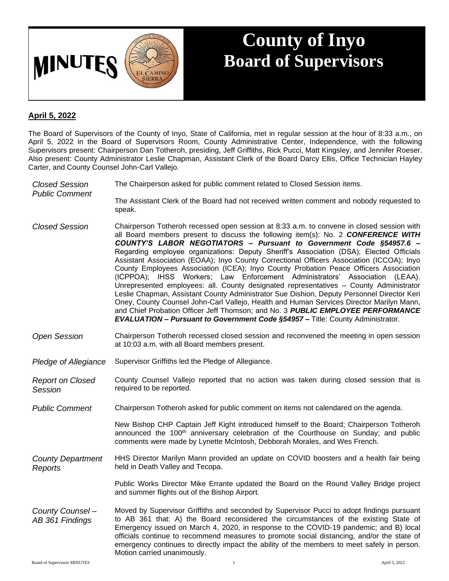

## **County of Inyo Board of Supervisors**

## **April 5, 2022**

The Board of Supervisors of the County of Inyo, State of California, met in regular session at the hour of 8:33 a.m., on April 5, 2022 in the Board of Supervisors Room, County Administrative Center, Independence, with the following Supervisors present: Chairperson Dan Totheroh, presiding, Jeff Griffiths, Rick Pucci, Matt Kingsley, and Jennifer Roeser. Also present: County Administrator Leslie Chapman, Assistant Clerk of the Board Darcy Ellis, Office Technician Hayley Carter, and County Counsel John-Carl Vallejo.

| <b>Closed Session</b><br><b>Public Comment</b> | The Chairperson asked for public comment related to Closed Session items.                                                                                                                                                                                                                                                                                                                                                                                                                                                                                                                                                                                                                                                                                                                                                                                                                                                                                                                                                                                                      |
|------------------------------------------------|--------------------------------------------------------------------------------------------------------------------------------------------------------------------------------------------------------------------------------------------------------------------------------------------------------------------------------------------------------------------------------------------------------------------------------------------------------------------------------------------------------------------------------------------------------------------------------------------------------------------------------------------------------------------------------------------------------------------------------------------------------------------------------------------------------------------------------------------------------------------------------------------------------------------------------------------------------------------------------------------------------------------------------------------------------------------------------|
|                                                | The Assistant Clerk of the Board had not received written comment and nobody requested to<br>speak.                                                                                                                                                                                                                                                                                                                                                                                                                                                                                                                                                                                                                                                                                                                                                                                                                                                                                                                                                                            |
| <b>Closed Session</b>                          | Chairperson Totheroh recessed open session at 8:33 a.m. to convene in closed session with<br>all Board members present to discuss the following item(s): No. 2 CONFERENCE WITH<br>COUNTY'S LABOR NEGOTIATORS - Pursuant to Government Code §54957.6 -<br>Regarding employee organizations: Deputy Sheriff's Association (DSA); Elected Officials<br>Assistant Association (EOAA); Inyo County Correctional Officers Association (ICCOA); Inyo<br>County Employees Association (ICEA); Inyo County Probation Peace Officers Association<br>(ICPPOA); IHSS Workers; Law Enforcement Administrators' Association (LEAA).<br>Unrepresented employees: all. County designated representatives - County Administrator<br>Leslie Chapman, Assistant County Administrator Sue Dishion, Deputy Personnel Director Keri<br>Oney, County Counsel John-Carl Vallejo, Health and Human Services Director Marilyn Mann,<br>and Chief Probation Officer Jeff Thomson; and No. 3 PUBLIC EMPLOYEE PERFORMANCE<br>EVALUATION - Pursuant to Government Code §54957 - Title: County Administrator. |
| <b>Open Session</b>                            | Chairperson Totheroh recessed closed session and reconvened the meeting in open session<br>at 10:03 a.m. with all Board members present.                                                                                                                                                                                                                                                                                                                                                                                                                                                                                                                                                                                                                                                                                                                                                                                                                                                                                                                                       |
| Pledge of Allegiance                           | Supervisor Griffiths led the Pledge of Allegiance.                                                                                                                                                                                                                                                                                                                                                                                                                                                                                                                                                                                                                                                                                                                                                                                                                                                                                                                                                                                                                             |
| <b>Report on Closed</b><br>Session             | County Counsel Vallejo reported that no action was taken during closed session that is<br>required to be reported.                                                                                                                                                                                                                                                                                                                                                                                                                                                                                                                                                                                                                                                                                                                                                                                                                                                                                                                                                             |
| <b>Public Comment</b>                          | Chairperson Totheroh asked for public comment on items not calendared on the agenda.                                                                                                                                                                                                                                                                                                                                                                                                                                                                                                                                                                                                                                                                                                                                                                                                                                                                                                                                                                                           |
|                                                | New Bishop CHP Captain Jeff Kight introduced himself to the Board; Chairperson Totheroh<br>announced the 100 <sup>th</sup> anniversary celebration of the Courthouse on Sunday; and public<br>comments were made by Lynette McIntosh, Debborah Morales, and Wes French.                                                                                                                                                                                                                                                                                                                                                                                                                                                                                                                                                                                                                                                                                                                                                                                                        |
| <b>County Department</b><br>Reports            | HHS Director Marilyn Mann provided an update on COVID boosters and a health fair being<br>held in Death Valley and Tecopa.                                                                                                                                                                                                                                                                                                                                                                                                                                                                                                                                                                                                                                                                                                                                                                                                                                                                                                                                                     |
|                                                | Public Works Director Mike Errante updated the Board on the Round Valley Bridge project<br>and summer flights out of the Bishop Airport.                                                                                                                                                                                                                                                                                                                                                                                                                                                                                                                                                                                                                                                                                                                                                                                                                                                                                                                                       |
| County Counsel -<br>AB 361 Findings            | Moved by Supervisor Griffiths and seconded by Supervisor Pucci to adopt findings pursuant<br>to AB 361 that: A) the Board reconsidered the circumstances of the existing State of<br>Emergency issued on March 4, 2020, in response to the COVID-19 pandemic; and B) local<br>officials continue to recommend measures to promote social distancing, and/or the state of<br>emergency continues to directly impact the ability of the members to meet safely in person.<br>Motion carried unanimously.                                                                                                                                                                                                                                                                                                                                                                                                                                                                                                                                                                         |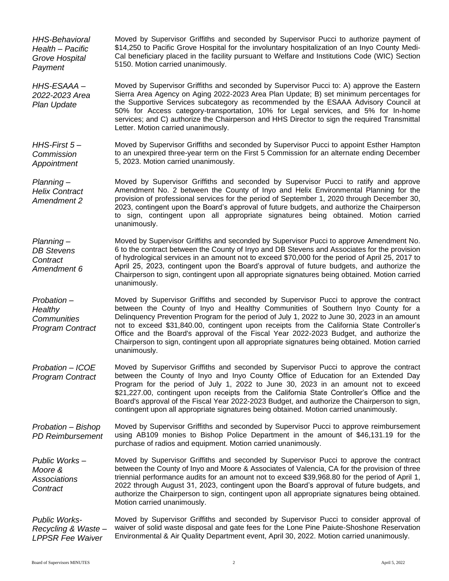*HHS-Behavioral Health – Pacific Grove Hospital Payment* Moved by Supervisor Griffiths and seconded by Supervisor Pucci to authorize payment of \$14,250 to Pacific Grove Hospital for the involuntary hospitalization of an Inyo County Medi-Cal beneficiary placed in the facility pursuant to Welfare and Institutions Code (WIC) Section 5150. Motion carried unanimously. *HHS-ESAAA – 2022-2023 Area Plan Update* Moved by Supervisor Griffiths and seconded by Supervisor Pucci to: A) approve the Eastern Sierra Area Agency on Aging 2022-2023 Area Plan Update; B) set minimum percentages for the Supportive Services subcategory as recommended by the ESAAA Advisory Council at 50% for Access category-transportation, 10% for Legal services, and 5% for In-home services; and C) authorize the Chairperson and HHS Director to sign the required Transmittal Letter. Motion carried unanimously. *HHS-First 5 – Commission Appointment* Moved by Supervisor Griffiths and seconded by Supervisor Pucci to appoint Esther Hampton to an unexpired three-year term on the First 5 Commission for an alternate ending December 5, 2023. Motion carried unanimously. *Planning – Helix Contract Amendment 2* Moved by Supervisor Griffiths and seconded by Supervisor Pucci to ratify and approve Amendment No. 2 between the County of Inyo and Helix Environmental Planning for the provision of professional services for the period of September 1, 2020 through December 30, 2023, contingent upon the Board's approval of future budgets, and authorize the Chairperson to sign, contingent upon all appropriate signatures being obtained. Motion carried unanimously. *Planning – DB Stevens Contract Amendment 6* Moved by Supervisor Griffiths and seconded by Supervisor Pucci to approve Amendment No. 6 to the contract between the County of Inyo and DB Stevens and Associates for the provision of hydrological services in an amount not to exceed \$70,000 for the period of April 25, 2017 to April 25, 2023, contingent upon the Board's approval of future budgets, and authorize the Chairperson to sign, contingent upon all appropriate signatures being obtained. Motion carried unanimously. *Probation – Healthy Communities Program Contract* Moved by Supervisor Griffiths and seconded by Supervisor Pucci to approve the contract between the County of Inyo and Healthy Communities of Southern Inyo County for a Delinquency Prevention Program for the period of July 1, 2022 to June 30, 2023 in an amount not to exceed \$31,840.00, contingent upon receipts from the California State Controller's Office and the Board's approval of the Fiscal Year 2022-2023 Budget, and authorize the Chairperson to sign, contingent upon all appropriate signatures being obtained. Motion carried unanimously. *Probation – ICOE Program Contract* Moved by Supervisor Griffiths and seconded by Supervisor Pucci to approve the contract between the County of Inyo and Inyo County Office of Education for an Extended Day Program for the period of July 1, 2022 to June 30, 2023 in an amount not to exceed \$21,227.00, contingent upon receipts from the California State Controller's Office and the Board's approval of the Fiscal Year 2022-2023 Budget, and authorize the Chairperson to sign, contingent upon all appropriate signatures being obtained. Motion carried unanimously. *Probation – Bishop PD Reimbursement* Moved by Supervisor Griffiths and seconded by Supervisor Pucci to approve reimbursement using AB109 monies to Bishop Police Department in the amount of \$46,131.19 for the purchase of radios and equipment. Motion carried unanimously. *Public Works – Moore & Associations Contract* Moved by Supervisor Griffiths and seconded by Supervisor Pucci to approve the contract between the County of Inyo and Moore & Associates of Valencia, CA for the provision of three triennial performance audits for an amount not to exceed \$39,968.80 for the period of April 1, 2022 through August 31, 2023, contingent upon the Board's approval of future budgets, and authorize the Chairperson to sign, contingent upon all appropriate signatures being obtained. Motion carried unanimously. *Public Works-Recycling & Waste – LPPSR Fee Waiver* Moved by Supervisor Griffiths and seconded by Supervisor Pucci to consider approval of waiver of solid waste disposal and gate fees for the Lone Pine Paiute-Shoshone Reservation Environmental & Air Quality Department event, April 30, 2022. Motion carried unanimously.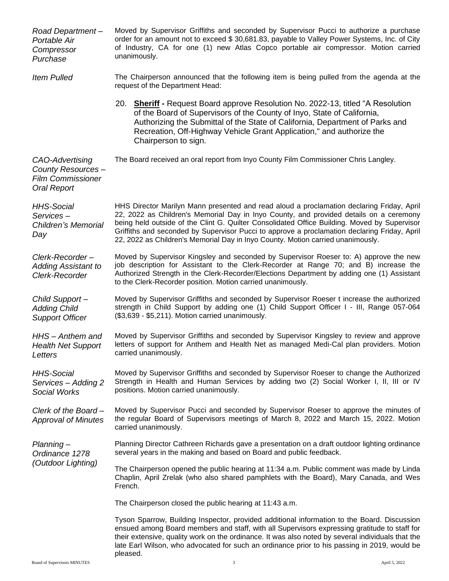| Road Department-<br>Portable Air<br>Compressor<br>Purchase                             | Moved by Supervisor Griffiths and seconded by Supervisor Pucci to authorize a purchase<br>order for an amount not to exceed \$30,681.83, payable to Valley Power Systems, Inc. of City<br>of Industry, CA for one (1) new Atlas Copco portable air compressor. Motion carried<br>unanimously.                                                                                                                                                                          |
|----------------------------------------------------------------------------------------|------------------------------------------------------------------------------------------------------------------------------------------------------------------------------------------------------------------------------------------------------------------------------------------------------------------------------------------------------------------------------------------------------------------------------------------------------------------------|
| <b>Item Pulled</b>                                                                     | The Chairperson announced that the following item is being pulled from the agenda at the<br>request of the Department Head:                                                                                                                                                                                                                                                                                                                                            |
|                                                                                        | 20. Sheriff - Request Board approve Resolution No. 2022-13, titled "A Resolution<br>of the Board of Supervisors of the County of Inyo, State of California,<br>Authorizing the Submittal of the State of California, Department of Parks and<br>Recreation, Off-Highway Vehicle Grant Application," and authorize the<br>Chairperson to sign.                                                                                                                          |
| CAO-Advertising<br>County Resources-<br><b>Film Commissioner</b><br><b>Oral Report</b> | The Board received an oral report from Inyo County Film Commissioner Chris Langley.                                                                                                                                                                                                                                                                                                                                                                                    |
| <b>HHS-Social</b><br>Services-<br>Children's Memorial<br>Day                           | HHS Director Marilyn Mann presented and read aloud a proclamation declaring Friday, April<br>22, 2022 as Children's Memorial Day in Inyo County, and provided details on a ceremony<br>being held outside of the Clint G. Quilter Consolidated Office Building. Moved by Supervisor<br>Griffiths and seconded by Supervisor Pucci to approve a proclamation declaring Friday, April<br>22, 2022 as Children's Memorial Day in Inyo County. Motion carried unanimously. |
| Clerk-Recorder-<br><b>Adding Assistant to</b><br>Clerk-Recorder                        | Moved by Supervisor Kingsley and seconded by Supervisor Roeser to: A) approve the new<br>job description for Assistant to the Clerk-Recorder at Range 70; and B) increase the<br>Authorized Strength in the Clerk-Recorder/Elections Department by adding one (1) Assistant<br>to the Clerk-Recorder position. Motion carried unanimously.                                                                                                                             |
| Child Support-<br><b>Adding Child</b><br><b>Support Officer</b>                        | Moved by Supervisor Griffiths and seconded by Supervisor Roeser t increase the authorized<br>strength in Child Support by adding one (1) Child Support Officer I - III, Range 057-064<br>(\$3,639 - \$5,211). Motion carried unanimously.                                                                                                                                                                                                                              |
| HHS - Anthem and<br><b>Health Net Support</b><br>Letters                               | Moved by Supervisor Griffiths and seconded by Supervisor Kingsley to review and approve<br>letters of support for Anthem and Health Net as managed Medi-Cal plan providers. Motion<br>carried unanimously.                                                                                                                                                                                                                                                             |
| <b>HHS-Social</b><br>Services - Adding 2<br>Social Works                               | Moved by Supervisor Griffiths and seconded by Supervisor Roeser to change the Authorized<br>Strength in Health and Human Services by adding two (2) Social Worker I, II, III or IV<br>positions. Motion carried unanimously.                                                                                                                                                                                                                                           |
| Clerk of the Board-<br><b>Approval of Minutes</b>                                      | Moved by Supervisor Pucci and seconded by Supervisor Roeser to approve the minutes of<br>the regular Board of Supervisors meetings of March 8, 2022 and March 15, 2022. Motion<br>carried unanimously.                                                                                                                                                                                                                                                                 |
| Planning-<br>Ordinance 1278<br>(Outdoor Lighting)                                      | Planning Director Cathreen Richards gave a presentation on a draft outdoor lighting ordinance<br>several years in the making and based on Board and public feedback.                                                                                                                                                                                                                                                                                                   |
|                                                                                        | The Chairperson opened the public hearing at 11:34 a.m. Public comment was made by Linda<br>Chaplin, April Zrelak (who also shared pamphlets with the Board), Mary Canada, and Wes<br>French.                                                                                                                                                                                                                                                                          |
|                                                                                        | The Chairperson closed the public hearing at 11:43 a.m.                                                                                                                                                                                                                                                                                                                                                                                                                |
|                                                                                        | Tyson Sparrow, Building Inspector, provided additional information to the Board. Discussion<br>ensued among Board members and staff, with all Supervisors expressing gratitude to staff for<br>their extensive, quality work on the ordinance. It was also noted by several individuals that the<br>late Earl Wilson, who advocated for such an ordinance prior to his passing in 2019, would be<br>pleased.                                                           |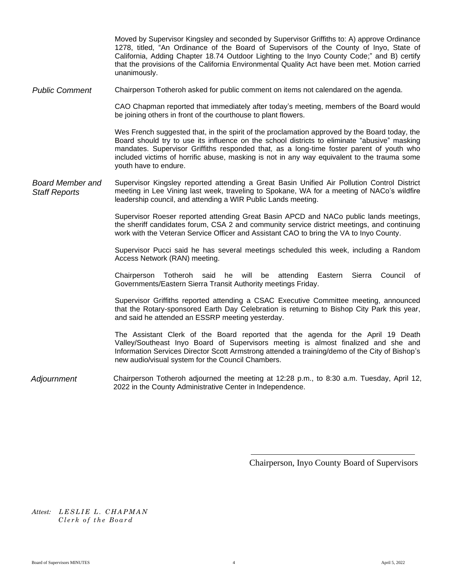1278, titled, "An Ordinance of the Board of Supervisors of the County of Inyo, State of California, Adding Chapter 18.74 Outdoor Lighting to the Inyo County Code;" and B) certify that the provisions of the California Environmental Quality Act have been met. Motion carried unanimously. *Public Comment* Chairperson Totheroh asked for public comment on items not calendared on the agenda. CAO Chapman reported that immediately after today's meeting, members of the Board would be joining others in front of the courthouse to plant flowers. Wes French suggested that, in the spirit of the proclamation approved by the Board today, the Board should try to use its influence on the school districts to eliminate "abusive" masking mandates. Supervisor Griffiths responded that, as a long-time foster parent of youth who included victims of horrific abuse, masking is not in any way equivalent to the trauma some youth have to endure. *Board Member and Staff Reports* Supervisor Kingsley reported attending a Great Basin Unified Air Pollution Control District meeting in Lee Vining last week, traveling to Spokane, WA for a meeting of NACo's wildfire leadership council, and attending a WIR Public Lands meeting. Supervisor Roeser reported attending Great Basin APCD and NACo public lands meetings, the sheriff candidates forum, CSA 2 and community service district meetings, and continuing work with the Veteran Service Officer and Assistant CAO to bring the VA to Inyo County. Supervisor Pucci said he has several meetings scheduled this week, including a Random Access Network (RAN) meeting. Chairperson Totheroh said he will be attending Eastern Sierra Council of Governments/Eastern Sierra Transit Authority meetings Friday. Supervisor Griffiths reported attending a CSAC Executive Committee meeting, announced that the Rotary-sponsored Earth Day Celebration is returning to Bishop City Park this year, and said he attended an ESSRP meeting yesterday. The Assistant Clerk of the Board reported that the agenda for the April 19 Death Valley/Southeast Inyo Board of Supervisors meeting is almost finalized and she and Information Services Director Scott Armstrong attended a training/demo of the City of Bishop's new audio/visual system for the Council Chambers. *Adjournment* Chairperson Totheroh adjourned the meeting at 12:28 p.m., to 8:30 a.m. Tuesday, April 12, 2022 in the County Administrative Center in Independence.

Moved by Supervisor Kingsley and seconded by Supervisor Griffiths to: A) approve Ordinance

Chairperson, Inyo County Board of Supervisors

Attest: LESLIE L. CHAPMAN *Clerk of the Board*